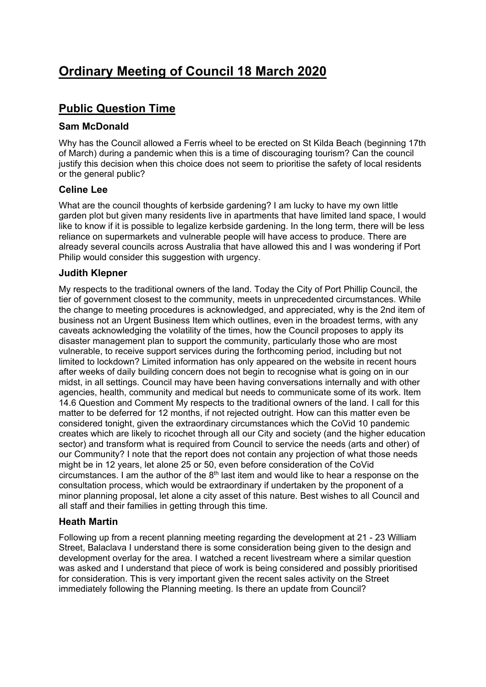# **Ordinary Meeting of Council 18 March 2020**

## **Public Question Time**

## **Sam McDonald**

Why has the Council allowed a Ferris wheel to be erected on St Kilda Beach (beginning 17th of March) during a pandemic when this is a time of discouraging tourism? Can the council justify this decision when this choice does not seem to prioritise the safety of local residents or the general public?

### **Celine Lee**

What are the council thoughts of kerbside gardening? I am lucky to have my own little garden plot but given many residents live in apartments that have limited land space, I would like to know if it is possible to legalize kerbside gardening. In the long term, there will be less reliance on supermarkets and vulnerable people will have access to produce. There are already several councils across Australia that have allowed this and I was wondering if Port Philip would consider this suggestion with urgency.

### **Judith Klepner**

My respects to the traditional owners of the land. Today the City of Port Phillip Council, the tier of government closest to the community, meets in unprecedented circumstances. While the change to meeting procedures is acknowledged, and appreciated, why is the 2nd item of business not an Urgent Business Item which outlines, even in the broadest terms, with any caveats acknowledging the volatility of the times, how the Council proposes to apply its disaster management plan to support the community, particularly those who are most vulnerable, to receive support services during the forthcoming period, including but not limited to lockdown? Limited information has only appeared on the website in recent hours after weeks of daily building concern does not begin to recognise what is going on in our midst, in all settings. Council may have been having conversations internally and with other agencies, health, community and medical but needs to communicate some of its work. Item 14.6 Question and Comment My respects to the traditional owners of the land. I call for this matter to be deferred for 12 months, if not rejected outright. How can this matter even be considered tonight, given the extraordinary circumstances which the CoVid 10 pandemic creates which are likely to ricochet through all our City and society (and the higher education sector) and transform what is required from Council to service the needs (arts and other) of our Community? I note that the report does not contain any projection of what those needs might be in 12 years, let alone 25 or 50, even before consideration of the CoVid circumstances. I am the author of the  $8<sup>th</sup>$  last item and would like to hear a response on the consultation process, which would be extraordinary if undertaken by the proponent of a minor planning proposal, let alone a city asset of this nature. Best wishes to all Council and all staff and their families in getting through this time.

## **Heath Martin**

Following up from a recent planning meeting regarding the development at 21 - 23 William Street, Balaclava I understand there is some consideration being given to the design and development overlay for the area. I watched a recent livestream where a similar question was asked and I understand that piece of work is being considered and possibly prioritised for consideration. This is very important given the recent sales activity on the Street immediately following the Planning meeting. Is there an update from Council?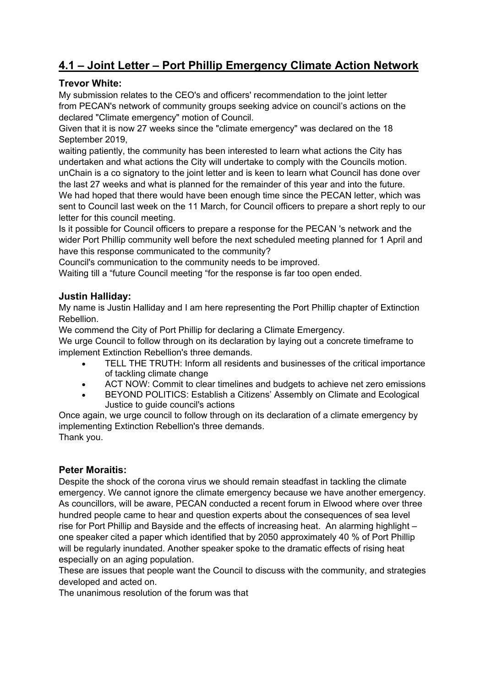## **4.1 – Joint Letter – Port Phillip Emergency Climate Action Network**

## **Trevor White:**

My submission relates to the CEO's and officers' recommendation to the joint letter from PECAN's network of community groups seeking advice on council's actions on the declared "Climate emergency" motion of Council.

Given that it is now 27 weeks since the "climate emergency" was declared on the 18 September 2019,

waiting patiently, the community has been interested to learn what actions the City has undertaken and what actions the City will undertake to comply with the Councils motion. unChain is a co signatory to the joint letter and is keen to learn what Council has done over the last 27 weeks and what is planned for the remainder of this year and into the future. We had hoped that there would have been enough time since the PECAN letter, which was sent to Council last week on the 11 March, for Council officers to prepare a short reply to our letter for this council meeting.

Is it possible for Council officers to prepare a response for the PECAN 's network and the wider Port Phillip community well before the next scheduled meeting planned for 1 April and have this response communicated to the community?

Council's communication to the community needs to be improved.

Waiting till a "future Council meeting "for the response is far too open ended.

## **Justin Halliday:**

My name is Justin Halliday and I am here representing the Port Phillip chapter of Extinction Rebellion.

We commend the City of Port Phillip for declaring a Climate Emergency.

We urge Council to follow through on its declaration by laying out a concrete timeframe to implement Extinction Rebellion's three demands.

- TELL THE TRUTH: Inform all residents and businesses of the critical importance of tackling climate change
- ACT NOW: Commit to clear timelines and budgets to achieve net zero emissions
- BEYOND POLITICS: Establish a Citizens' Assembly on Climate and Ecological Justice to guide council's actions

Once again, we urge council to follow through on its declaration of a climate emergency by implementing Extinction Rebellion's three demands. Thank you.

## **Peter Moraitis:**

Despite the shock of the corona virus we should remain steadfast in tackling the climate emergency. We cannot ignore the climate emergency because we have another emergency. As councillors, will be aware, PECAN conducted a recent forum in Elwood where over three hundred people came to hear and question experts about the consequences of sea level rise for Port Phillip and Bayside and the effects of increasing heat. An alarming highlight – one speaker cited a paper which identified that by 2050 approximately 40 % of Port Phillip will be regularly inundated. Another speaker spoke to the dramatic effects of rising heat especially on an aging population.

These are issues that people want the Council to discuss with the community, and strategies developed and acted on.

The unanimous resolution of the forum was that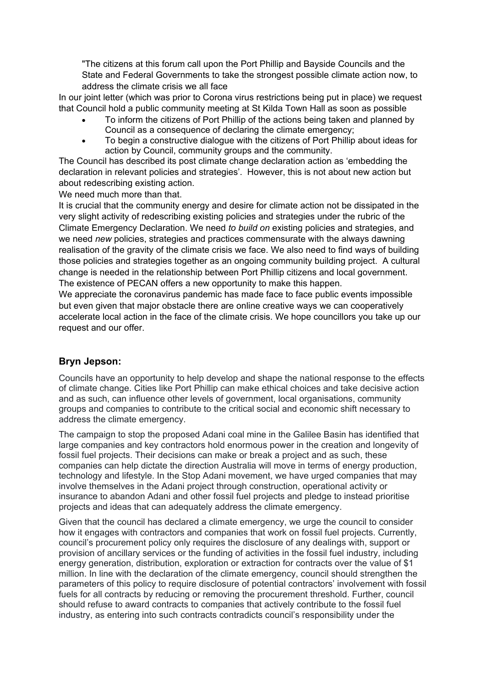"The citizens at this forum call upon the Port Phillip and Bayside Councils and the State and Federal Governments to take the strongest possible climate action now, to address the climate crisis we all face

In our joint letter (which was prior to Corona virus restrictions being put in place) we request that Council hold a public community meeting at St Kilda Town Hall as soon as possible

- To inform the citizens of Port Phillip of the actions being taken and planned by Council as a consequence of declaring the climate emergency;
- To begin a constructive dialogue with the citizens of Port Phillip about ideas for action by Council, community groups and the community.

The Council has described its post climate change declaration action as 'embedding the declaration in relevant policies and strategies'. However, this is not about new action but about redescribing existing action.

We need much more than that.

It is crucial that the community energy and desire for climate action not be dissipated in the very slight activity of redescribing existing policies and strategies under the rubric of the Climate Emergency Declaration. We need *to build on* existing policies and strategies, and we need *new* policies, strategies and practices commensurate with the always dawning realisation of the gravity of the climate crisis we face. We also need to find ways of building those policies and strategies together as an ongoing community building project. A cultural change is needed in the relationship between Port Phillip citizens and local government. The existence of PECAN offers a new opportunity to make this happen.

We appreciate the coronavirus pandemic has made face to face public events impossible but even given that major obstacle there are online creative ways we can cooperatively accelerate local action in the face of the climate crisis. We hope councillors you take up our request and our offer.

## **Bryn Jepson:**

Councils have an opportunity to help develop and shape the national response to the effects of climate change. Cities like Port Phillip can make ethical choices and take decisive action and as such, can influence other levels of government, local organisations, community groups and companies to contribute to the critical social and economic shift necessary to address the climate emergency.

The campaign to stop the proposed Adani coal mine in the Galilee Basin has identified that large companies and key contractors hold enormous power in the creation and longevity of fossil fuel projects. Their decisions can make or break a project and as such, these companies can help dictate the direction Australia will move in terms of energy production, technology and lifestyle. In the Stop Adani movement, we have urged companies that may involve themselves in the Adani project through construction, operational activity or insurance to abandon Adani and other fossil fuel projects and pledge to instead prioritise projects and ideas that can adequately address the climate emergency.

Given that the council has declared a climate emergency, we urge the council to consider how it engages with contractors and companies that work on fossil fuel projects. Currently, council's procurement policy only requires the disclosure of any dealings with, support or provision of ancillary services or the funding of activities in the fossil fuel industry, including energy generation, distribution, exploration or extraction for contracts over the value of \$1 million. In line with the declaration of the climate emergency, council should strengthen the parameters of this policy to require disclosure of potential contractors' involvement with fossil fuels for all contracts by reducing or removing the procurement threshold. Further, council should refuse to award contracts to companies that actively contribute to the fossil fuel industry, as entering into such contracts contradicts council's responsibility under the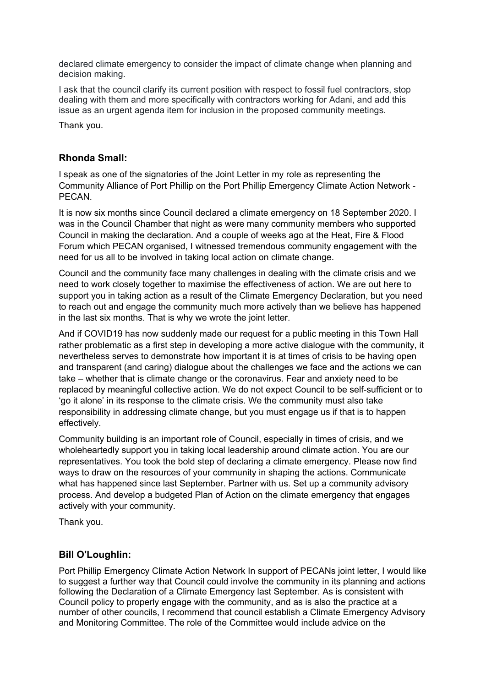declared climate emergency to consider the impact of climate change when planning and decision making.

I ask that the council clarify its current position with respect to fossil fuel contractors, stop dealing with them and more specifically with contractors working for Adani, and add this issue as an urgent agenda item for inclusion in the proposed community meetings.

Thank you.

### **Rhonda Small:**

I speak as one of the signatories of the Joint Letter in my role as representing the Community Alliance of Port Phillip on the Port Phillip Emergency Climate Action Network - PECAN.

It is now six months since Council declared a climate emergency on 18 September 2020. I was in the Council Chamber that night as were many community members who supported Council in making the declaration. And a couple of weeks ago at the Heat, Fire & Flood Forum which PECAN organised, I witnessed tremendous community engagement with the need for us all to be involved in taking local action on climate change.

Council and the community face many challenges in dealing with the climate crisis and we need to work closely together to maximise the effectiveness of action. We are out here to support you in taking action as a result of the Climate Emergency Declaration, but you need to reach out and engage the community much more actively than we believe has happened in the last six months. That is why we wrote the joint letter.

And if COVID19 has now suddenly made our request for a public meeting in this Town Hall rather problematic as a first step in developing a more active dialogue with the community, it nevertheless serves to demonstrate how important it is at times of crisis to be having open and transparent (and caring) dialogue about the challenges we face and the actions we can take – whether that is climate change or the coronavirus. Fear and anxiety need to be replaced by meaningful collective action. We do not expect Council to be self-sufficient or to 'go it alone' in its response to the climate crisis. We the community must also take responsibility in addressing climate change, but you must engage us if that is to happen effectively.

Community building is an important role of Council, especially in times of crisis, and we wholeheartedly support you in taking local leadership around climate action. You are our representatives. You took the bold step of declaring a climate emergency. Please now find ways to draw on the resources of your community in shaping the actions. Communicate what has happened since last September. Partner with us. Set up a community advisory process. And develop a budgeted Plan of Action on the climate emergency that engages actively with your community.

Thank you.

## **Bill O'Loughlin:**

Port Phillip Emergency Climate Action Network In support of PECANs joint letter, I would like to suggest a further way that Council could involve the community in its planning and actions following the Declaration of a Climate Emergency last September. As is consistent with Council policy to properly engage with the community, and as is also the practice at a number of other councils, I recommend that council establish a Climate Emergency Advisory and Monitoring Committee. The role of the Committee would include advice on the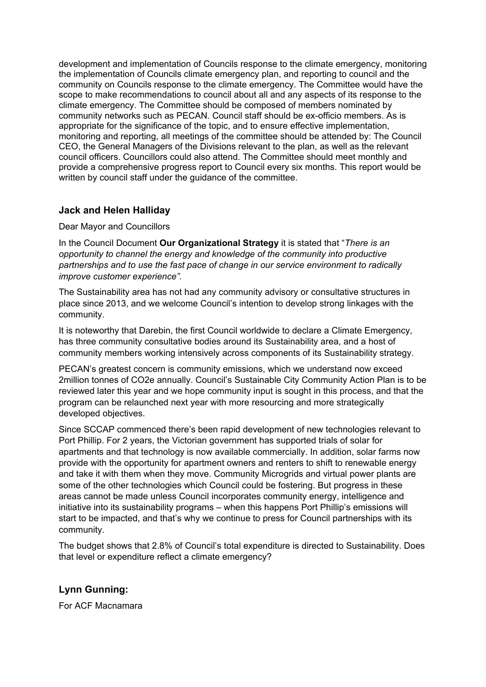development and implementation of Councils response to the climate emergency, monitoring the implementation of Councils climate emergency plan, and reporting to council and the community on Councils response to the climate emergency. The Committee would have the scope to make recommendations to council about all and any aspects of its response to the climate emergency. The Committee should be composed of members nominated by community networks such as PECAN. Council staff should be ex-officio members. As is appropriate for the significance of the topic, and to ensure effective implementation, monitoring and reporting, all meetings of the committee should be attended by: The Council CEO, the General Managers of the Divisions relevant to the plan, as well as the relevant council officers. Councillors could also attend. The Committee should meet monthly and provide a comprehensive progress report to Council every six months. This report would be written by council staff under the guidance of the committee.

## **Jack and Helen Halliday**

#### Dear Mayor and Councillors

In the Council Document **Our Organizational Strategy** it is stated that "*There is an opportunity to channel the energy and knowledge of the community into productive partnerships and to use the fast pace of change in our service environment to radically improve customer experience".* 

The Sustainability area has not had any community advisory or consultative structures in place since 2013, and we welcome Council's intention to develop strong linkages with the community.

It is noteworthy that Darebin, the first Council worldwide to declare a Climate Emergency, has three community consultative bodies around its Sustainability area, and a host of community members working intensively across components of its Sustainability strategy.

PECAN's greatest concern is community emissions, which we understand now exceed 2million tonnes of CO2e annually. Council's Sustainable City Community Action Plan is to be reviewed later this year and we hope community input is sought in this process, and that the program can be relaunched next year with more resourcing and more strategically developed objectives.

Since SCCAP commenced there's been rapid development of new technologies relevant to Port Phillip. For 2 years, the Victorian government has supported trials of solar for apartments and that technology is now available commercially. In addition, solar farms now provide with the opportunity for apartment owners and renters to shift to renewable energy and take it with them when they move. Community Microgrids and virtual power plants are some of the other technologies which Council could be fostering. But progress in these areas cannot be made unless Council incorporates community energy, intelligence and initiative into its sustainability programs – when this happens Port Phillip's emissions will start to be impacted, and that's why we continue to press for Council partnerships with its community.

The budget shows that 2.8% of Council's total expenditure is directed to Sustainability. Does that level or expenditure reflect a climate emergency?

## **Lynn Gunning:**

For ACF Macnamara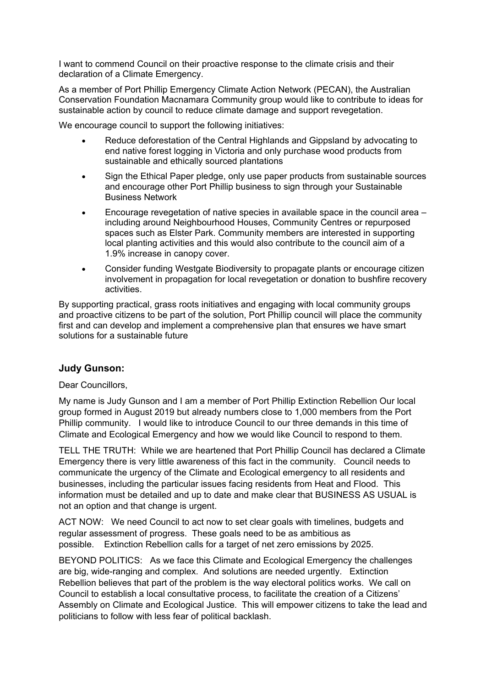I want to commend Council on their proactive response to the climate crisis and their declaration of a Climate Emergency.

As a member of Port Phillip Emergency Climate Action Network (PECAN), the Australian Conservation Foundation Macnamara Community group would like to contribute to ideas for sustainable action by council to reduce climate damage and support revegetation.

We encourage council to support the following initiatives:

- Reduce deforestation of the Central Highlands and Gippsland by advocating to end native forest logging in Victoria and only purchase wood products from sustainable and ethically sourced plantations
- Sign the Ethical Paper pledge, only use paper products from sustainable sources and encourage other Port Phillip business to sign through your Sustainable Business Network
- Encourage revegetation of native species in available space in the council area including around Neighbourhood Houses, Community Centres or repurposed spaces such as Elster Park. Community members are interested in supporting local planting activities and this would also contribute to the council aim of a 1.9% increase in canopy cover.
- Consider funding Westgate Biodiversity to propagate plants or encourage citizen involvement in propagation for local revegetation or donation to bushfire recovery activities.

By supporting practical, grass roots initiatives and engaging with local community groups and proactive citizens to be part of the solution, Port Phillip council will place the community first and can develop and implement a comprehensive plan that ensures we have smart solutions for a sustainable future

## **Judy Gunson:**

Dear Councillors.

My name is Judy Gunson and I am a member of Port Phillip Extinction Rebellion Our local group formed in August 2019 but already numbers close to 1,000 members from the Port Phillip community. I would like to introduce Council to our three demands in this time of Climate and Ecological Emergency and how we would like Council to respond to them.

TELL THE TRUTH: While we are heartened that Port Phillip Council has declared a Climate Emergency there is very little awareness of this fact in the community. Council needs to communicate the urgency of the Climate and Ecological emergency to all residents and businesses, including the particular issues facing residents from Heat and Flood. This information must be detailed and up to date and make clear that BUSINESS AS USUAL is not an option and that change is urgent.

ACT NOW: We need Council to act now to set clear goals with timelines, budgets and regular assessment of progress. These goals need to be as ambitious as possible. Extinction Rebellion calls for a target of net zero emissions by 2025.

BEYOND POLITICS: As we face this Climate and Ecological Emergency the challenges are big, wide-ranging and complex. And solutions are needed urgently. Extinction Rebellion believes that part of the problem is the way electoral politics works. We call on Council to establish a local consultative process, to facilitate the creation of a Citizens' Assembly on Climate and Ecological Justice. This will empower citizens to take the lead and politicians to follow with less fear of political backlash.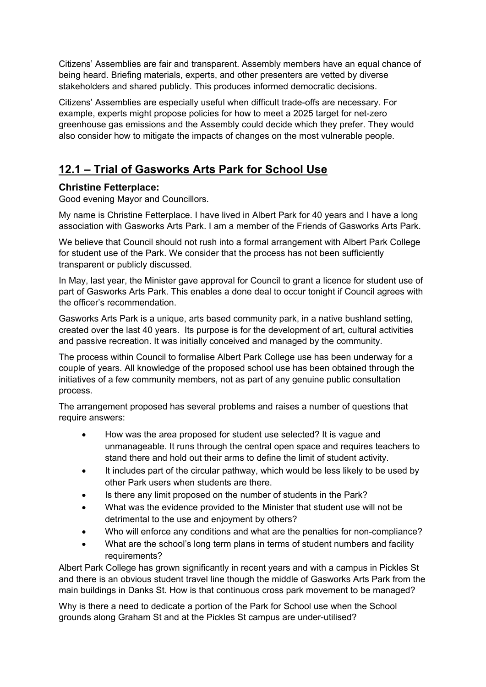Citizens' Assemblies are fair and transparent. Assembly members have an equal chance of being heard. Briefing materials, experts, and other presenters are vetted by diverse stakeholders and shared publicly. This produces informed democratic decisions.

Citizens' Assemblies are especially useful when difficult trade-offs are necessary. For example, experts might propose policies for how to meet a 2025 target for net-zero greenhouse gas emissions and the Assembly could decide which they prefer. They would also consider how to mitigate the impacts of changes on the most vulnerable people.

## **12.1 – Trial of Gasworks Arts Park for School Use**

## **Christine Fetterplace:**

Good evening Mayor and Councillors.

My name is Christine Fetterplace. I have lived in Albert Park for 40 years and I have a long association with Gasworks Arts Park. I am a member of the Friends of Gasworks Arts Park.

We believe that Council should not rush into a formal arrangement with Albert Park College for student use of the Park. We consider that the process has not been sufficiently transparent or publicly discussed.

In May, last year, the Minister gave approval for Council to grant a licence for student use of part of Gasworks Arts Park. This enables a done deal to occur tonight if Council agrees with the officer's recommendation.

Gasworks Arts Park is a unique, arts based community park, in a native bushland setting, created over the last 40 years. Its purpose is for the development of art, cultural activities and passive recreation. It was initially conceived and managed by the community.

The process within Council to formalise Albert Park College use has been underway for a couple of years. All knowledge of the proposed school use has been obtained through the initiatives of a few community members, not as part of any genuine public consultation process.

The arrangement proposed has several problems and raises a number of questions that require answers:

- How was the area proposed for student use selected? It is vague and unmanageable. It runs through the central open space and requires teachers to stand there and hold out their arms to define the limit of student activity.
- It includes part of the circular pathway, which would be less likely to be used by other Park users when students are there.
- Is there any limit proposed on the number of students in the Park?
- What was the evidence provided to the Minister that student use will not be detrimental to the use and enjoyment by others?
- Who will enforce any conditions and what are the penalties for non-compliance?
- What are the school's long term plans in terms of student numbers and facility requirements?

Albert Park College has grown significantly in recent years and with a campus in Pickles St and there is an obvious student travel line though the middle of Gasworks Arts Park from the main buildings in Danks St. How is that continuous cross park movement to be managed?

Why is there a need to dedicate a portion of the Park for School use when the School grounds along Graham St and at the Pickles St campus are under-utilised?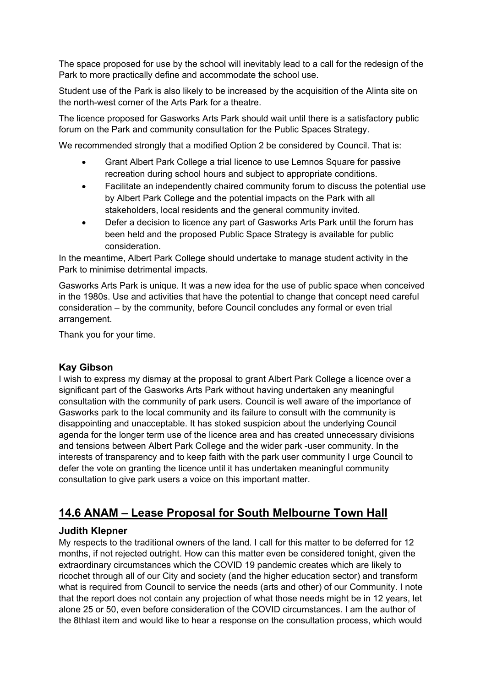The space proposed for use by the school will inevitably lead to a call for the redesign of the Park to more practically define and accommodate the school use.

Student use of the Park is also likely to be increased by the acquisition of the Alinta site on the north-west corner of the Arts Park for a theatre.

The licence proposed for Gasworks Arts Park should wait until there is a satisfactory public forum on the Park and community consultation for the Public Spaces Strategy.

We recommended strongly that a modified Option 2 be considered by Council. That is:

- Grant Albert Park College a trial licence to use Lemnos Square for passive recreation during school hours and subject to appropriate conditions.
- Facilitate an independently chaired community forum to discuss the potential use by Albert Park College and the potential impacts on the Park with all stakeholders, local residents and the general community invited.
- Defer a decision to licence any part of Gasworks Arts Park until the forum has been held and the proposed Public Space Strategy is available for public consideration.

In the meantime, Albert Park College should undertake to manage student activity in the Park to minimise detrimental impacts.

Gasworks Arts Park is unique. It was a new idea for the use of public space when conceived in the 1980s. Use and activities that have the potential to change that concept need careful consideration – by the community, before Council concludes any formal or even trial arrangement.

Thank you for your time.

## **Kay Gibson**

I wish to express my dismay at the proposal to grant Albert Park College a licence over a significant part of the Gasworks Arts Park without having undertaken any meaningful consultation with the community of park users. Council is well aware of the importance of Gasworks park to the local community and its failure to consult with the community is disappointing and unacceptable. It has stoked suspicion about the underlying Council agenda for the longer term use of the licence area and has created unnecessary divisions and tensions between Albert Park College and the wider park -user community. In the interests of transparency and to keep faith with the park user community I urge Council to defer the vote on granting the licence until it has undertaken meaningful community consultation to give park users a voice on this important matter.

## **14.6 ANAM – Lease Proposal for South Melbourne Town Hall**

## **Judith Klepner**

My respects to the traditional owners of the land. I call for this matter to be deferred for 12 months, if not rejected outright. How can this matter even be considered tonight, given the extraordinary circumstances which the COVID 19 pandemic creates which are likely to ricochet through all of our City and society (and the higher education sector) and transform what is required from Council to service the needs (arts and other) of our Community. I note that the report does not contain any projection of what those needs might be in 12 years, let alone 25 or 50, even before consideration of the COVID circumstances. I am the author of the 8thlast item and would like to hear a response on the consultation process, which would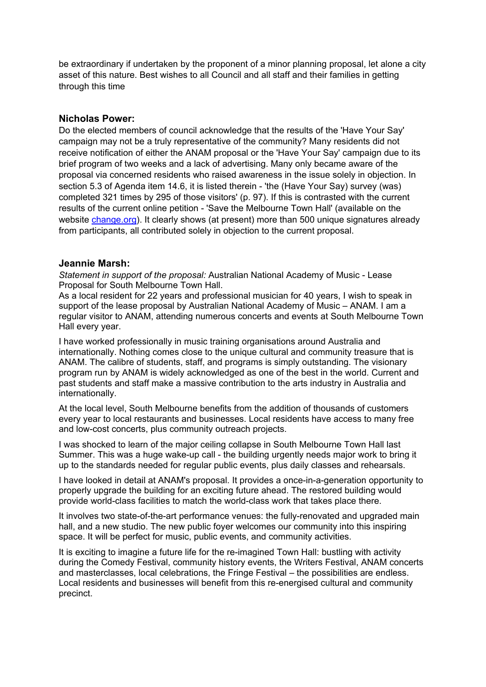be extraordinary if undertaken by the proponent of a minor planning proposal, let alone a city asset of this nature. Best wishes to all Council and all staff and their families in getting through this time

#### **Nicholas Power:**

Do the elected members of council acknowledge that the results of the 'Have Your Say' campaign may not be a truly representative of the community? Many residents did not receive notification of either the ANAM proposal or the 'Have Your Say' campaign due to its brief program of two weeks and a lack of advertising. Many only became aware of the proposal via concerned residents who raised awareness in the issue solely in objection. In section 5.3 of Agenda item 14.6, it is listed therein - 'the (Have Your Say) survey (was) completed 321 times by 295 of those visitors' (p. 97). If this is contrasted with the current results of the current online petition - 'Save the Melbourne Town Hall' (available on the website change.org). It clearly shows (at present) more than 500 unique signatures already from participants, all contributed solely in objection to the current proposal.

#### **Jeannie Marsh:**

*Statement in support of the proposal:* Australian National Academy of Music - Lease Proposal for South Melbourne Town Hall.

As a local resident for 22 years and professional musician for 40 years, I wish to speak in support of the lease proposal by Australian National Academy of Music – ANAM. I am a regular visitor to ANAM, attending numerous concerts and events at South Melbourne Town Hall every year.

I have worked professionally in music training organisations around Australia and internationally. Nothing comes close to the unique cultural and community treasure that is ANAM. The calibre of students, staff, and programs is simply outstanding. The visionary program run by ANAM is widely acknowledged as one of the best in the world. Current and past students and staff make a massive contribution to the arts industry in Australia and internationally.

At the local level, South Melbourne benefits from the addition of thousands of customers every year to local restaurants and businesses. Local residents have access to many free and low-cost concerts, plus community outreach projects.

I was shocked to learn of the major ceiling collapse in South Melbourne Town Hall last Summer. This was a huge wake-up call - the building urgently needs major work to bring it up to the standards needed for regular public events, plus daily classes and rehearsals.

I have looked in detail at ANAM's proposal. It provides a once-in-a-generation opportunity to properly upgrade the building for an exciting future ahead. The restored building would provide world-class facilities to match the world-class work that takes place there.

It involves two state-of-the-art performance venues: the fully-renovated and upgraded main hall, and a new studio. The new public foyer welcomes our community into this inspiring space. It will be perfect for music, public events, and community activities.

It is exciting to imagine a future life for the re-imagined Town Hall: bustling with activity during the Comedy Festival, community history events, the Writers Festival, ANAM concerts and masterclasses, local celebrations, the Fringe Festival – the possibilities are endless. Local residents and businesses will benefit from this re-energised cultural and community precinct.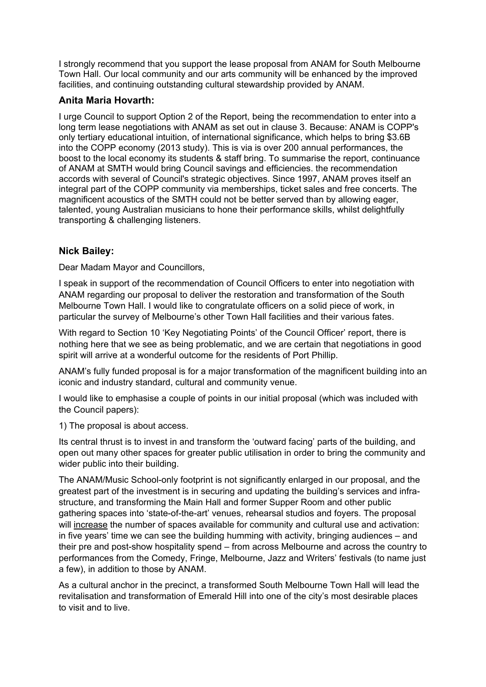I strongly recommend that you support the lease proposal from ANAM for South Melbourne Town Hall. Our local community and our arts community will be enhanced by the improved facilities, and continuing outstanding cultural stewardship provided by ANAM.

## **Anita Maria Hovarth:**

I urge Council to support Option 2 of the Report, being the recommendation to enter into a long term lease negotiations with ANAM as set out in clause 3. Because: ANAM is COPP's only tertiary educational intuition, of international significance, which helps to bring \$3.6B into the COPP economy (2013 study). This is via is over 200 annual performances, the boost to the local economy its students & staff bring. To summarise the report, continuance of ANAM at SMTH would bring Council savings and efficiencies. the recommendation accords with several of Council's strategic objectives. Since 1997, ANAM proves itself an integral part of the COPP community via memberships, ticket sales and free concerts. The magnificent acoustics of the SMTH could not be better served than by allowing eager, talented, young Australian musicians to hone their performance skills, whilst delightfully transporting & challenging listeners.

## **Nick Bailey:**

Dear Madam Mayor and Councillors,

I speak in support of the recommendation of Council Officers to enter into negotiation with ANAM regarding our proposal to deliver the restoration and transformation of the South Melbourne Town Hall. I would like to congratulate officers on a solid piece of work, in particular the survey of Melbourne's other Town Hall facilities and their various fates.

With regard to Section 10 'Key Negotiating Points' of the Council Officer' report, there is nothing here that we see as being problematic, and we are certain that negotiations in good spirit will arrive at a wonderful outcome for the residents of Port Phillip.

ANAM's fully funded proposal is for a major transformation of the magnificent building into an iconic and industry standard, cultural and community venue.

I would like to emphasise a couple of points in our initial proposal (which was included with the Council papers):

1) The proposal is about access.

Its central thrust is to invest in and transform the 'outward facing' parts of the building, and open out many other spaces for greater public utilisation in order to bring the community and wider public into their building.

The ANAM/Music School-only footprint is not significantly enlarged in our proposal, and the greatest part of the investment is in securing and updating the building's services and infrastructure, and transforming the Main Hall and former Supper Room and other public gathering spaces into 'state-of-the-art' venues, rehearsal studios and foyers. The proposal will increase the number of spaces available for community and cultural use and activation: in five years' time we can see the building humming with activity, bringing audiences – and their pre and post-show hospitality spend – from across Melbourne and across the country to performances from the Comedy, Fringe, Melbourne, Jazz and Writers' festivals (to name just a few), in addition to those by ANAM.

As a cultural anchor in the precinct, a transformed South Melbourne Town Hall will lead the revitalisation and transformation of Emerald Hill into one of the city's most desirable places to visit and to live.